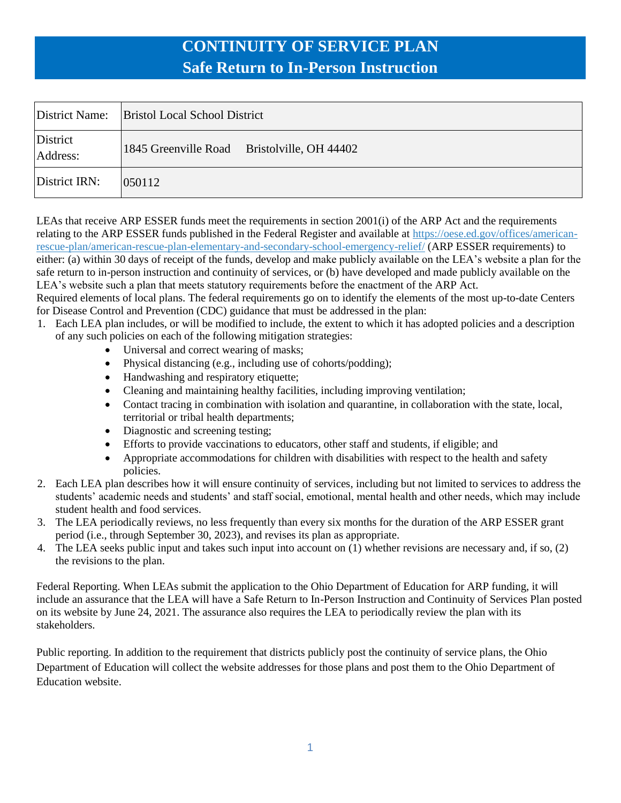|                      | District Name: Bristol Local School District |
|----------------------|----------------------------------------------|
| District<br>Address: | 1845 Greenville Road Bristolville, OH 44402  |
| District IRN:        | 050112                                       |

LEAs that receive ARP ESSER funds meet the requirements in section 2001(i) of the ARP Act and the requirements relating to the ARP ESSER funds published in the Federal Register and available at [https://oese.ed.gov/offices/american](https://oese.ed.gov/offices/american-rescue-plan/american-rescue-plan-elementary-and-secondary-school-emergency-relief/)[rescue-plan/american-rescue-plan-elementary-and-secondary-school-emergency-relief/](https://oese.ed.gov/offices/american-rescue-plan/american-rescue-plan-elementary-and-secondary-school-emergency-relief/) (ARP ESSER requirements) to either: (a) within 30 days of receipt of the funds, develop and make publicly available on the LEA's website a plan for the safe return to in-person instruction and continuity of services, or (b) have developed and made publicly available on the LEA's website such a plan that meets statutory requirements before the enactment of the ARP Act.

Required elements of local plans. The federal requirements go on to identify the elements of the most up-to-date Centers for Disease Control and Prevention (CDC) guidance that must be addressed in the plan:

- 1. Each LEA plan includes, or will be modified to include, the extent to which it has adopted policies and a description of any such policies on each of the following mitigation strategies:
	- Universal and correct wearing of masks;
	- Physical distancing (e.g., including use of cohorts/podding);
	- Handwashing and respiratory etiquette;
	- Cleaning and maintaining healthy facilities, including improving ventilation;
	- Contact tracing in combination with isolation and quarantine, in collaboration with the state, local, territorial or tribal health departments;
	- Diagnostic and screening testing;
	- Efforts to provide vaccinations to educators, other staff and students, if eligible; and
	- Appropriate accommodations for children with disabilities with respect to the health and safety policies.
- 2. Each LEA plan describes how it will ensure continuity of services, including but not limited to services to address the students' academic needs and students' and staff social, emotional, mental health and other needs, which may include student health and food services.
- 3. The LEA periodically reviews, no less frequently than every six months for the duration of the ARP ESSER grant period (i.e., through September 30, 2023), and revises its plan as appropriate.
- 4. The LEA seeks public input and takes such input into account on  $(1)$  whether revisions are necessary and, if so,  $(2)$ the revisions to the plan.

Federal Reporting. When LEAs submit the application to the Ohio Department of Education for ARP funding, it will include an assurance that the LEA will have a Safe Return to In-Person Instruction and Continuity of Services Plan posted on its website by June 24, 2021. The assurance also requires the LEA to periodically review the plan with its stakeholders.

Public reporting. In addition to the requirement that districts publicly post the continuity of service plans, the Ohio Department of Education will collect the website addresses for those plans and post them to the Ohio Department of Education website.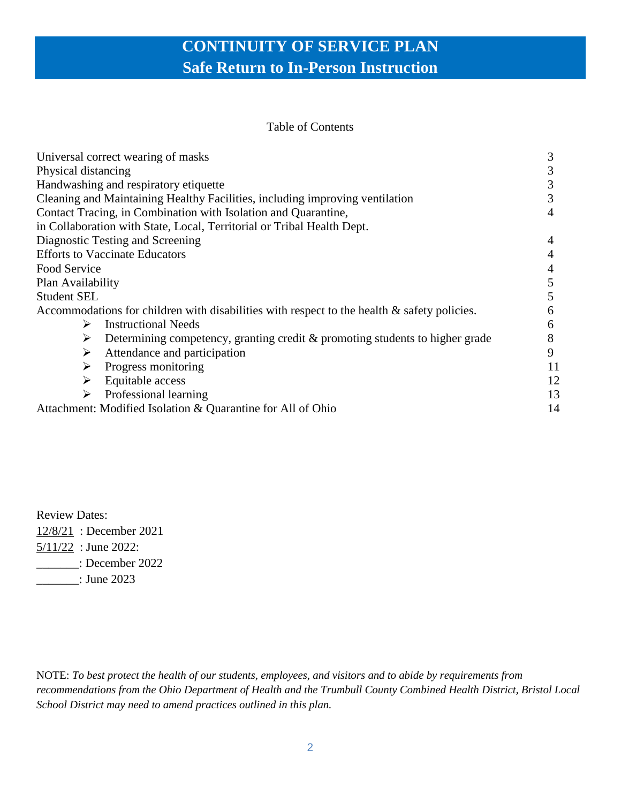#### Table of Contents

| Universal correct wearing of masks                                                             |    |
|------------------------------------------------------------------------------------------------|----|
| Physical distancing                                                                            | 3  |
| Handwashing and respiratory etiquette                                                          | 3  |
| Cleaning and Maintaining Healthy Facilities, including improving ventilation                   |    |
| Contact Tracing, in Combination with Isolation and Quarantine,                                 | 4  |
| in Collaboration with State, Local, Territorial or Tribal Health Dept.                         |    |
| Diagnostic Testing and Screening                                                               | 4  |
| <b>Efforts to Vaccinate Educators</b>                                                          | 4  |
| Food Service                                                                                   | 4  |
| Plan Availability                                                                              | 5  |
| <b>Student SEL</b>                                                                             | 5  |
| Accommodations for children with disabilities with respect to the health $\&$ safety policies. | 6  |
| <b>Instructional Needs</b><br>➤                                                                | 6  |
| Determining competency, granting credit & promoting students to higher grade<br>➤              | 8  |
| Attendance and participation<br>➤                                                              | 9  |
| Progress monitoring<br>➤                                                                       | 11 |
| Equitable access<br>➤                                                                          | 12 |
| Professional learning<br>➤                                                                     | 13 |
| Attachment: Modified Isolation & Quarantine for All of Ohio                                    | 14 |

Review Dates:

12/8/21 : December 2021

5/11/22 : June 2022:

\_\_\_\_\_\_\_: December 2022

\_\_\_\_\_\_\_: June 2023

NOTE: *To best protect the health of our students, employees, and visitors and to abide by requirements from recommendations from the Ohio Department of Health and the Trumbull County Combined Health District, Bristol Local School District may need to amend practices outlined in this plan.*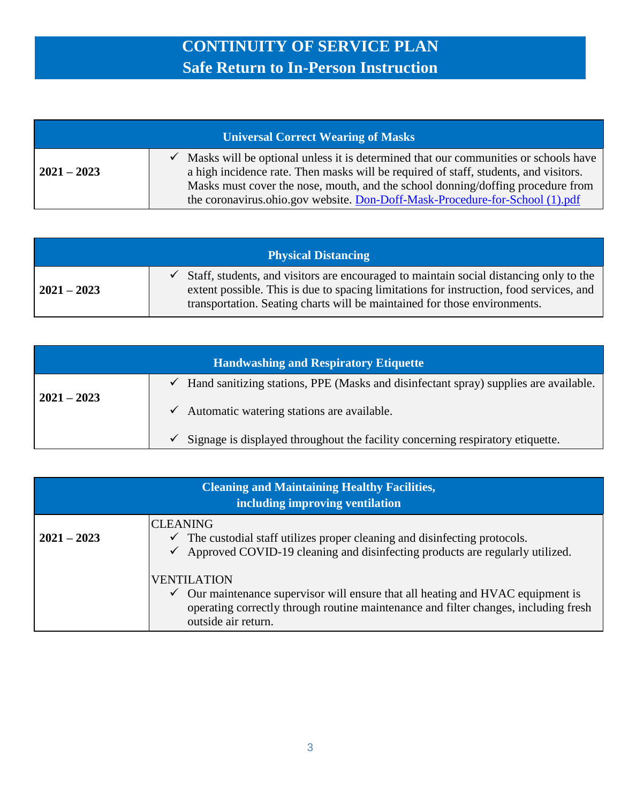| <b>Universal Correct Wearing of Masks</b> |                                                                                                                                                                                                                                                                                                                                                |
|-------------------------------------------|------------------------------------------------------------------------------------------------------------------------------------------------------------------------------------------------------------------------------------------------------------------------------------------------------------------------------------------------|
| $2021 - 2023$                             | Masks will be optional unless it is determined that our communities or schools have<br>a high incidence rate. Then masks will be required of staff, students, and visitors.<br>Masks must cover the nose, mouth, and the school donning/doffing procedure from<br>the coronavirus.ohio.gov website. Don-Doff-Mask-Procedure-for-School (1).pdf |

| <b>Physical Distancing</b> |                                                                                                                                                                                                                                                                |
|----------------------------|----------------------------------------------------------------------------------------------------------------------------------------------------------------------------------------------------------------------------------------------------------------|
| $2021 - 2023$              | Staff, students, and visitors are encouraged to maintain social distancing only to the<br>extent possible. This is due to spacing limitations for instruction, food services, and<br>transportation. Seating charts will be maintained for those environments. |

| <b>Handwashing and Respiratory Etiquette</b> |                                                                                                      |
|----------------------------------------------|------------------------------------------------------------------------------------------------------|
|                                              | Hand sanitizing stations, PPE (Masks and disinfectant spray) supplies are available.<br>$\checkmark$ |
| $2021 - 2023$                                | Automatic watering stations are available.<br>$\checkmark$                                           |
|                                              | Signage is displayed throughout the facility concerning respiratory etiquette.<br>✓                  |

| <b>Cleaning and Maintaining Healthy Facilities,</b><br>including improving ventilation |                                                                                                                                                                                                                                   |
|----------------------------------------------------------------------------------------|-----------------------------------------------------------------------------------------------------------------------------------------------------------------------------------------------------------------------------------|
| $2021 - 2023$                                                                          | <b>CLEANING</b><br>$\checkmark$ The custodial staff utilizes proper cleaning and disinfecting protocols.<br>Approved COVID-19 cleaning and disinfecting products are regularly utilized.<br>$\checkmark$                          |
|                                                                                        | <b>VENTILATION</b><br>Our maintenance supervisor will ensure that all heating and HVAC equipment is<br>$\checkmark$<br>operating correctly through routine maintenance and filter changes, including fresh<br>outside air return. |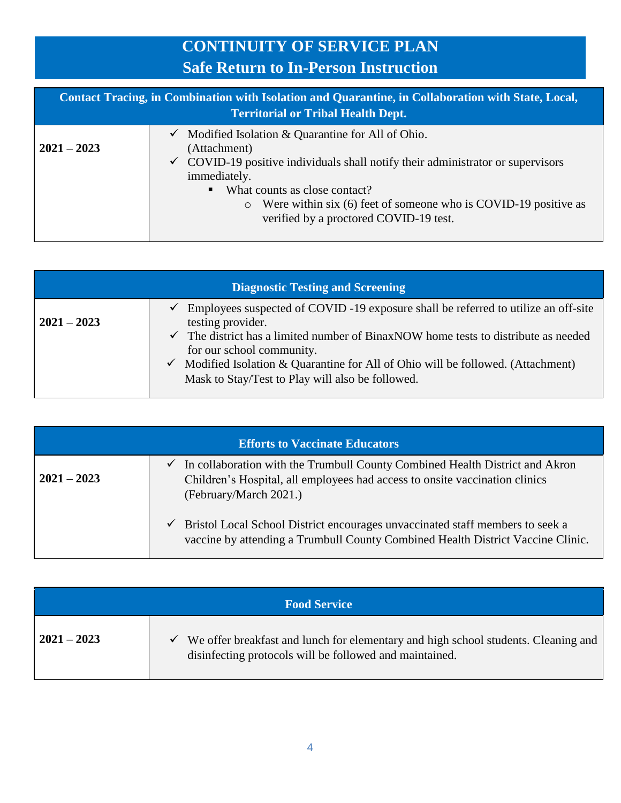| Contact Tracing, in Combination with Isolation and Quarantine, in Collaboration with State, Local,<br><b>Territorial or Tribal Health Dept.</b> |                                                                                                                                                                                                                                                                                                                                                           |
|-------------------------------------------------------------------------------------------------------------------------------------------------|-----------------------------------------------------------------------------------------------------------------------------------------------------------------------------------------------------------------------------------------------------------------------------------------------------------------------------------------------------------|
| $2021 - 2023$                                                                                                                                   | Modified Isolation & Quarantine for All of Ohio.<br>$\checkmark$<br>(Attachment)<br>$\checkmark$ COVID-19 positive individuals shall notify their administrator or supervisors<br>immediately.<br>• What counts as close contact?<br>Were within six (6) feet of someone who is COVID-19 positive as<br>$\circ$<br>verified by a proctored COVID-19 test. |

| <b>Diagnostic Testing and Screening</b> |                                                                                                                                                                                                                                                                                                                                                                             |  |
|-----------------------------------------|-----------------------------------------------------------------------------------------------------------------------------------------------------------------------------------------------------------------------------------------------------------------------------------------------------------------------------------------------------------------------------|--|
| $2021 - 2023$                           | Employees suspected of COVID -19 exposure shall be referred to utilize an off-site<br>testing provider.<br>The district has a limited number of BinaxNOW home tests to distribute as needed<br>for our school community.<br>$\checkmark$ Modified Isolation & Quarantine for All of Ohio will be followed. (Attachment)<br>Mask to Stay/Test to Play will also be followed. |  |

| <b>Efforts to Vaccinate Educators</b> |                                                                                                                                                                                                    |
|---------------------------------------|----------------------------------------------------------------------------------------------------------------------------------------------------------------------------------------------------|
| $2021 - 2023$                         | $\checkmark$ In collaboration with the Trumbull County Combined Health District and Akron<br>Children's Hospital, all employees had access to onsite vaccination clinics<br>(February/March 2021.) |
|                                       | Bristol Local School District encourages unvaccinated staff members to seek a<br>$\checkmark$<br>vaccine by attending a Trumbull County Combined Health District Vaccine Clinic.                   |

| <b>Food Service</b> |                                                                                                                                                                 |
|---------------------|-----------------------------------------------------------------------------------------------------------------------------------------------------------------|
| $2021 - 2023$       | We offer breakfast and lunch for elementary and high school students. Cleaning and  <br>$\checkmark$<br>disinfecting protocols will be followed and maintained. |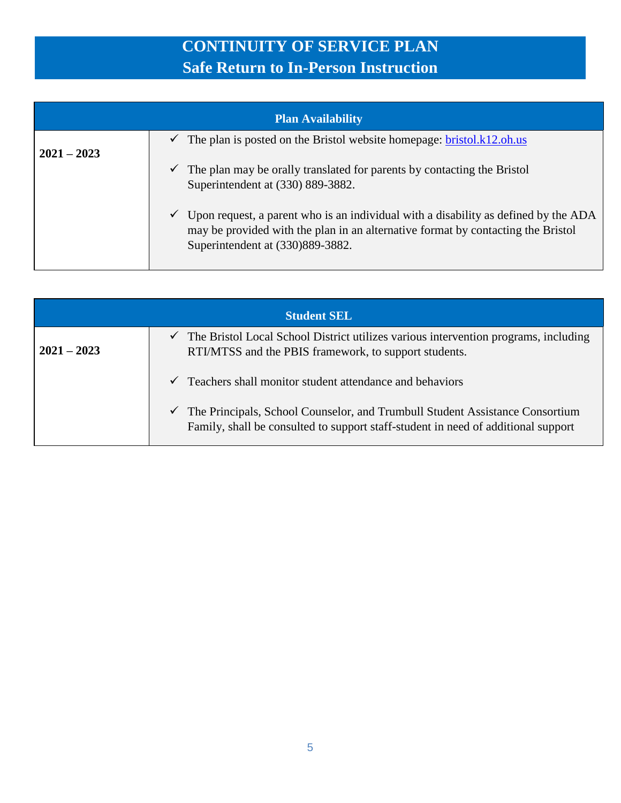| <b>Plan Availability</b> |                                                                                                                                                                                                             |
|--------------------------|-------------------------------------------------------------------------------------------------------------------------------------------------------------------------------------------------------------|
| $2021 - 2023$            | The plan is posted on the Bristol website homepage: bristol.k12.oh.us<br>✓                                                                                                                                  |
|                          | The plan may be orally translated for parents by contacting the Bristol<br>Superintendent at (330) 889-3882.                                                                                                |
|                          | Upon request, a parent who is an individual with a disability as defined by the ADA<br>may be provided with the plan in an alternative format by contacting the Bristol<br>Superintendent at (330)889-3882. |

| <b>Student SEL</b> |                                                                                                                                                                        |
|--------------------|------------------------------------------------------------------------------------------------------------------------------------------------------------------------|
| $2021 - 2023$      | The Bristol Local School District utilizes various intervention programs, including<br>✓<br>RTI/MTSS and the PBIS framework, to support students.                      |
|                    | Teachers shall monitor student attendance and behaviors<br>$\checkmark$                                                                                                |
|                    | The Principals, School Counselor, and Trumbull Student Assistance Consortium<br>✓<br>Family, shall be consulted to support staff-student in need of additional support |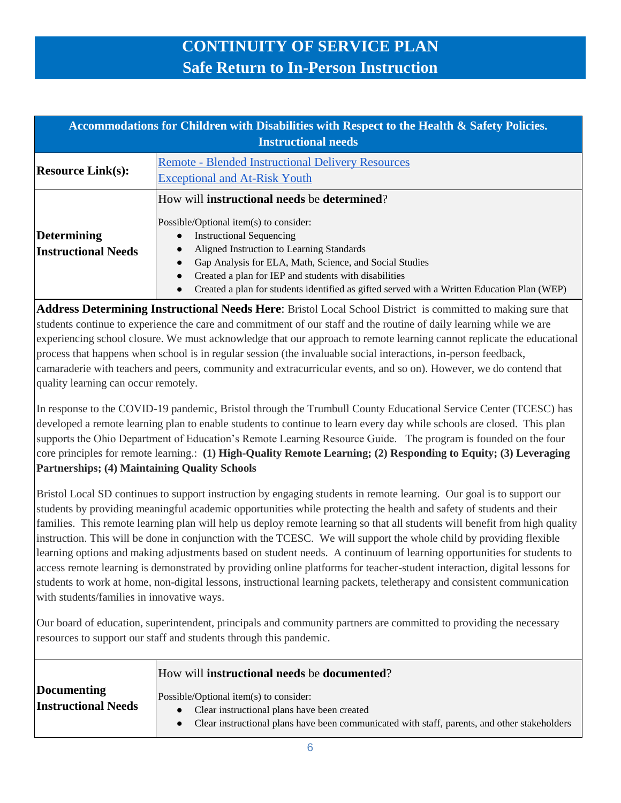| Accommodations for Children with Disabilities with Respect to the Health & Safety Policies.<br><b>Instructional needs</b> |                                                                                                                                                                                                                                                                                                                                                                                                         |
|---------------------------------------------------------------------------------------------------------------------------|---------------------------------------------------------------------------------------------------------------------------------------------------------------------------------------------------------------------------------------------------------------------------------------------------------------------------------------------------------------------------------------------------------|
| <b>Resource Link(s):</b>                                                                                                  | <b>Remote - Blended Instructional Delivery Resources</b><br><b>Exceptional and At-Risk Youth</b>                                                                                                                                                                                                                                                                                                        |
| Determining<br><b>Instructional Needs</b>                                                                                 | How will <b>instructional needs</b> be <b>determined</b> ?<br>Possible/Optional item(s) to consider:<br><b>Instructional Sequencing</b><br>Aligned Instruction to Learning Standards<br>Gap Analysis for ELA, Math, Science, and Social Studies<br>Created a plan for IEP and students with disabilities<br>Created a plan for students identified as gifted served with a Written Education Plan (WEP) |

**Address Determining Instructional Needs Here**: Bristol Local School District is committed to making sure that students continue to experience the care and commitment of our staff and the routine of daily learning while we are experiencing school closure. We must acknowledge that our approach to remote learning cannot replicate the educational process that happens when school is in regular session (the invaluable social interactions, in-person feedback, camaraderie with teachers and peers, community and extracurricular events, and so on). However, we do contend that quality learning can occur remotely.

In response to the COVID-19 pandemic, Bristol through the Trumbull County Educational Service Center (TCESC) has developed a remote learning plan to enable students to continue to learn every day while schools are closed. This plan supports the Ohio Department of Education's Remote Learning Resource Guide. The program is founded on the four core principles for remote learning.: **(1) High-Quality Remote Learning; (2) Responding to Equity; (3) Leveraging Partnerships; (4) Maintaining Quality Schools**

Bristol Local SD continues to support instruction by engaging students in remote learning. Our goal is to support our students by providing meaningful academic opportunities while protecting the health and safety of students and their families. This remote learning plan will help us deploy remote learning so that all students will benefit from high quality instruction. This will be done in conjunction with the TCESC. We will support the whole child by providing flexible learning options and making adjustments based on student needs. A continuum of learning opportunities for students to access remote learning is demonstrated by providing online platforms for teacher-student interaction, digital lessons for students to work at home, non-digital lessons, instructional learning packets, teletherapy and consistent communication with students/families in innovative ways.

Our board of education, superintendent, principals and community partners are committed to providing the necessary resources to support our staff and students through this pandemic.

|                            | How will <b>instructional needs</b> be <b>documented</b> ?                                   |
|----------------------------|----------------------------------------------------------------------------------------------|
| Documenting                | Possible/Optional item(s) to consider:                                                       |
| <b>Instructional Needs</b> | Clear instructional plans have been created                                                  |
|                            | Clear instructional plans have been communicated with staff, parents, and other stakeholders |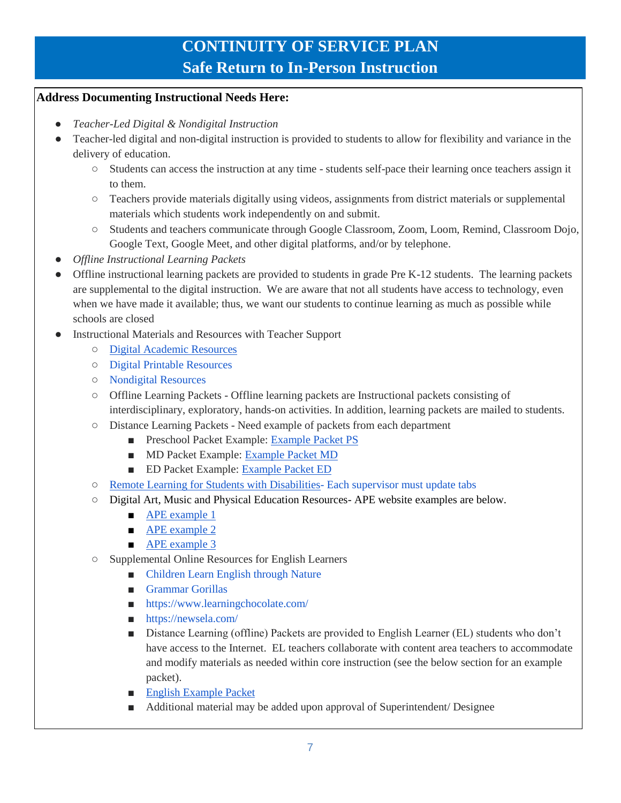#### **Address Documenting Instructional Needs Here:**

- *Teacher-Led Digital & Nondigital Instruction*
- Teacher-led digital and non-digital instruction is provided to students to allow for flexibility and variance in the delivery of education.
	- Students can access the instruction at any time students self-pace their learning once teachers assign it to them.
	- Teachers provide materials digitally using videos, assignments from district materials or supplemental materials which students work independently on and submit.
	- Students and teachers communicate through Google Classroom, Zoom, Loom, Remind, Classroom Dojo, Google Text, Google Meet, and other digital platforms, and/or by telephone.
- *Offline Instructional Learning Packets*
- Offline instructional learning packets are provided to students in grade Pre K-12 students. The learning packets are supplemental to the digital instruction. We are aware that not all students have access to technology, even when we have made it available; thus, we want our students to continue learning as much as possible while schools are closed
- Instructional Materials and Resources with Teacher Support
	- [Digital Academic Resources](https://docs.google.com/spreadsheets/d/1MQFdINX04TVzidaHVms6tmfwUGiD3UZWy44F0xcZ-K4/edit#gid=1121480961)
	- [Digital Printable Resources](https://docs.google.com/spreadsheets/d/1msM91RowEQuL5ANml2WyEEeWKPMJ3tpcXxVCgVbmCOM/edit#gid=0)
	- [Nondigital Resources](https://docs.google.com/spreadsheets/d/111sq5HcVajZEYIYk4QZMFJEew9uktXvL5Vqcjkrdl0I/edit#gid=788839967)
	- Offline Learning Packets Offline learning packets are Instructional packets consisting of interdisciplinary, exploratory, hands-on activities. In addition, learning packets are mailed to students.
	- Distance Learning Packets Need example of packets from each department
		- Preschool Packet Example: [Example Packet PS](https://documentcloud.adobe.com/link/review?uri=urn:aaid:scds:US:987dea79-e14e-4c22-9796-5b38ba590adb)
		- MD Packet Example: [Example Packet MD](https://documentcloud.adobe.com/link/review?uri=urn:aaid:scds:US:b6dd84ab-560d-4d52-b5e2-b6cdb9d90844)
		- ED Packet Example: [Example Packet ED](https://documentcloud.adobe.com/link/review?uri=urn:aaid:scds:US:f8f64d7c-0d28-4cd0-b31b-ccd50827fccc)
	- [Remote Learning for Students with Disabilities-](https://docs.google.com/spreadsheets/d/1NDdS4-a2RTjflg91L8A8jQB0x2qg4zKNZ5uyu_q2M9c/edit?ts=5f0db8c9#gid=341870205) Each supervisor must update tabs
	- [Digital Art, Music and Physical Education Resources-](https://docs.google.com/spreadsheets/d/13yTVrt1y7yyVW8CjVdVo8tDZnLEnWBeHjb9rAasbo0o/edit#gid=0) APE website examples are below.
		- [APE example 1](https://www.specialolympics.org/school-of-strength/fitness-movies/video-1-welcome-and-warm-up)
		- [APE example 2](https://www.pecentral.org/)
		- [APE example 3](https://www.shapeamerica.org/publications/resources/teachingtools/teachertoolbox/Teachers_Toolbox.aspx)
	- Supplemental Online Resources for English Learners
		- [Children Learn English through Nature](http://www.supernature1.com/)
		- [Grammar Gorillas](https://www.funbrain.com/games/grammar-gorillas)
		- <https://www.learningchocolate.com/>
		- https://newsela.com/
		- Distance Learning (offline) Packets are provided to English Learner (EL) students who don't have access to the Internet. EL teachers collaborate with content area teachers to accommodate and modify materials as needed within core instruction (see the below section for an example packet).
		- [English Example Packet](https://documentcloud.adobe.com/link/review?uri=urn:aaid:scds:US:f67cf4a7-ebb8-4352-ae22-3f6c042b6f04)
		- Additional material may be added upon approval of Superintendent/ Designee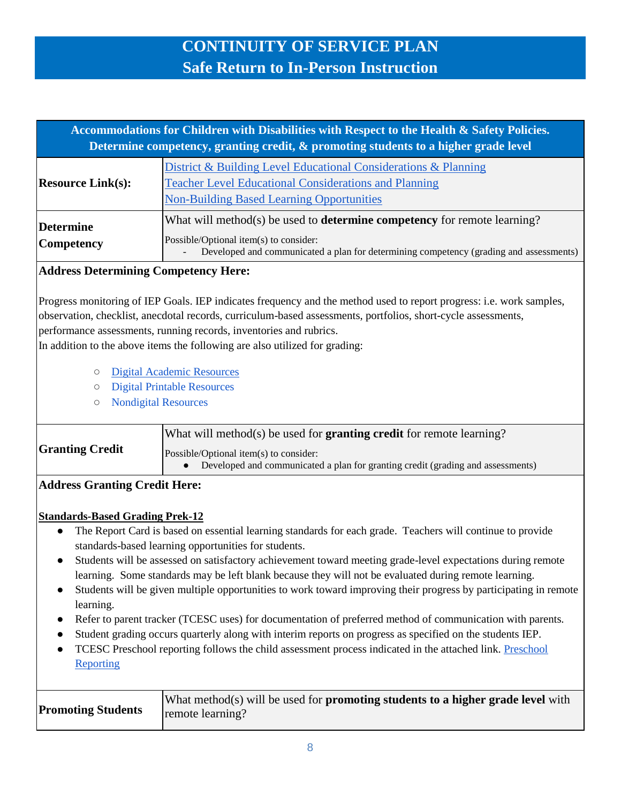| Accommodations for Children with Disabilities with Respect to the Health & Safety Policies.<br>Determine competency, granting credit, & promoting students to a higher grade level |                                                                                                                                                                                                                     |
|------------------------------------------------------------------------------------------------------------------------------------------------------------------------------------|---------------------------------------------------------------------------------------------------------------------------------------------------------------------------------------------------------------------|
| <b>Resource Link(s):</b>                                                                                                                                                           | District & Building Level Educational Considerations & Planning<br><b>Teacher Level Educational Considerations and Planning</b><br><b>Non-Building Based Learning Opportunities</b>                                 |
| <b>Determine</b><br><b>Competency</b>                                                                                                                                              | What will method(s) be used to <b>determine competency</b> for remote learning?<br>Possible/Optional item(s) to consider:<br>Developed and communicated a plan for determining competency (grading and assessments) |

### **Address Determining Competency Here:**

Progress monitoring of IEP Goals. IEP indicates frequency and the method used to report progress: i.e. work samples, observation, checklist, anecdotal records, curriculum-based assessments, portfolios, short-cycle assessments, performance assessments, running records, inventories and rubrics.

In addition to the above items the following are also utilized for grading:

- [Digital Academic Resources](https://docs.google.com/spreadsheets/d/1MQFdINX04TVzidaHVms6tmfwUGiD3UZWy44F0xcZ-K4/edit#gid=1121480961)
- [Digital Printable Resources](https://docs.google.com/spreadsheets/d/1msM91RowEQuL5ANml2WyEEeWKPMJ3tpcXxVCgVbmCOM/edit#gid=0)
- [Nondigital Resources](https://docs.google.com/spreadsheets/d/111sq5HcVajZEYIYk4QZMFJEew9uktXvL5Vqcjkrdl0I/edit#gid=788839967)

| <b>Granting Credit</b> | What will method(s) be used for <b>granting credit</b> for remote learning?                                               |
|------------------------|---------------------------------------------------------------------------------------------------------------------------|
|                        | Possible/Optional item(s) to consider:<br>Developed and communicated a plan for granting credit (grading and assessments) |

#### **Address Granting Credit Here:**

#### **Standards-Based Grading Prek-12**

- The Report Card is based on essential learning standards for each grade. Teachers will continue to provide standards-based learning opportunities for students.
- Students will be assessed on satisfactory achievement toward meeting grade-level expectations during remote learning. Some standards may be left blank because they will not be evaluated during remote learning.
- Students will be given multiple opportunities to work toward improving their progress by participating in remote learning.
- Refer to parent tracker (TCESC uses) for documentation of preferred method of communication with parents.
- Student grading occurs quarterly along with interim reports on progress as specified on the students IEP.
- TCESC [Preschool](https://docs.google.com/document/d/1Ld2xGyJoo33XeM-2dslGDR8NQzjr8ucEEgzo4H37uK4/edit#heading=h.gjdgxs) reporting follows the child assessment process indicated in the attached link. Preschool **Reporting**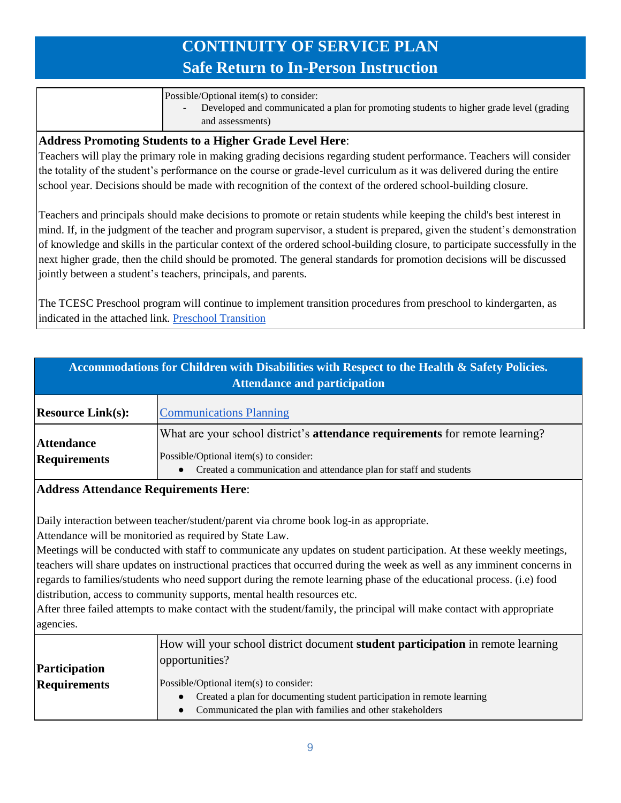Possible/Optional item(s) to consider:

- Developed and communicated a plan for promoting students to higher grade level (grading and assessments)

#### **Address Promoting Students to a Higher Grade Level Here**:

Teachers will play the primary role in making grading decisions regarding student performance. Teachers will consider the totality of the student's performance on the course or grade-level curriculum as it was delivered during the entire school year. Decisions should be made with recognition of the context of the ordered school-building closure.

Teachers and principals should make decisions to promote or retain students while keeping the child's best interest in mind. If, in the judgment of the teacher and program supervisor, a student is prepared, given the student's demonstration of knowledge and skills in the particular context of the ordered school-building closure, to participate successfully in the next higher grade, then the child should be promoted. The general standards for promotion decisions will be discussed jointly between a student's teachers, principals, and parents.

The TCESC Preschool program will continue to implement transition procedures from preschool to kindergarten, as indicated in the attached link. [Preschool Transition](https://docs.google.com/document/d/1hIa36bKE04i9bMZ0IA0T4iqO_wqYzw-3gXehP3KNRQs/edit)

| Accommodations for Children with Disabilities with Respect to the Health & Safety Policies.<br><b>Attendance and participation</b> |                                                                                                                                                                                              |
|------------------------------------------------------------------------------------------------------------------------------------|----------------------------------------------------------------------------------------------------------------------------------------------------------------------------------------------|
| <b>Resource Link(s):</b>                                                                                                           | <b>Communications Planning</b>                                                                                                                                                               |
| <b>Attendance</b><br><b>Requirements</b>                                                                                           | What are your school district's attendance requirements for remote learning?<br>Possible/Optional item(s) to consider:<br>Created a communication and attendance plan for staff and students |

#### **Address Attendance Requirements Here**:

Daily interaction between teacher/student/parent via chrome book log-in as appropriate.

Attendance will be monitoried as required by State Law.

Meetings will be conducted with staff to communicate any updates on student participation. At these weekly meetings, teachers will share updates on instructional practices that occurred during the week as well as any imminent concerns in regards to families/students who need support during the remote learning phase of the educational process. (i.e) food distribution, access to community supports, mental health resources etc.

After three failed attempts to make contact with the student/family, the principal will make contact with appropriate agencies.

|                     | How will your school district document <b>student participation</b> in remote learning |
|---------------------|----------------------------------------------------------------------------------------|
| Participation       | opportunities?                                                                         |
|                     |                                                                                        |
| <b>Requirements</b> | Possible/Optional item(s) to consider:                                                 |
|                     | Created a plan for documenting student participation in remote learning                |
|                     | Communicated the plan with families and other stakeholders                             |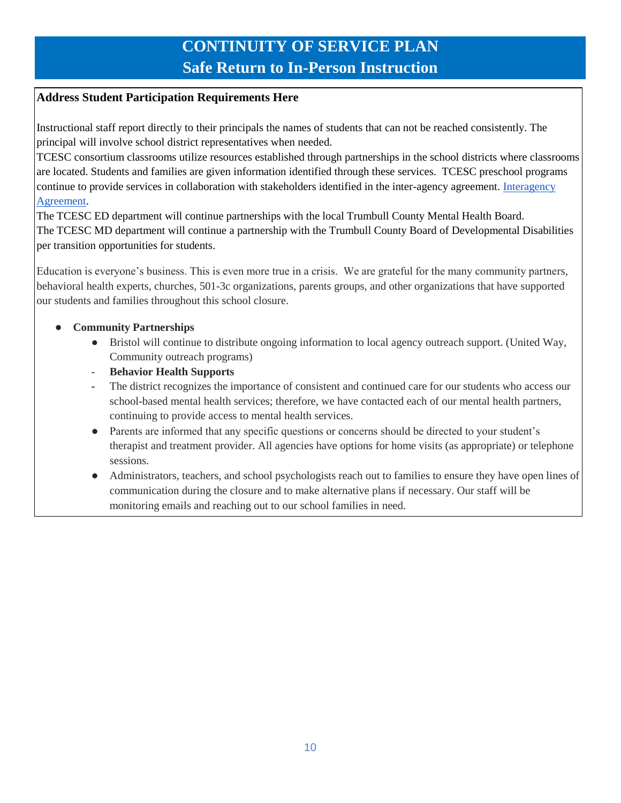### **Address Student Participation Requirements Here**

Instructional staff report directly to their principals the names of students that can not be reached consistently. The principal will involve school district representatives when needed.

TCESC consortium classrooms utilize resources established through partnerships in the school districts where classrooms are located. Students and families are given information identified through these services. TCESC preschool programs continue to provide services in collaboration with stakeholders identified in the inter-agency agreement. [Interagency](https://docs.google.com/document/d/1foPSYlYnnOxW1Udl5dYAQueyZkmNMXBRTVPovZRb1PU/edit?ts=5f0dd072)  [Agreement.](https://docs.google.com/document/d/1foPSYlYnnOxW1Udl5dYAQueyZkmNMXBRTVPovZRb1PU/edit?ts=5f0dd072)

The TCESC ED department will continue partnerships with the local Trumbull County Mental Health Board. The TCESC MD department will continue a partnership with the Trumbull County Board of Developmental Disabilities per transition opportunities for students.

Education is everyone's business. This is even more true in a crisis. We are grateful for the many community partners, behavioral health experts, churches, 501-3c organizations, parents groups, and other organizations that have supported our students and families throughout this school closure.

#### **Community Partnerships**

- Bristol will continue to distribute ongoing information to local agency outreach support. (United Way, Community outreach programs)
- **Behavior Health Supports**
- The district recognizes the importance of consistent and continued care for our students who access our school-based mental health services; therefore, we have contacted each of our mental health partners, continuing to provide access to mental health services.
- Parents are informed that any specific questions or concerns should be directed to your student's therapist and treatment provider. All agencies have options for home visits (as appropriate) or telephone sessions.
- Administrators, teachers, and school psychologists reach out to families to ensure they have open lines of communication during the closure and to make alternative plans if necessary. Our staff will be monitoring emails and reaching out to our school families in need.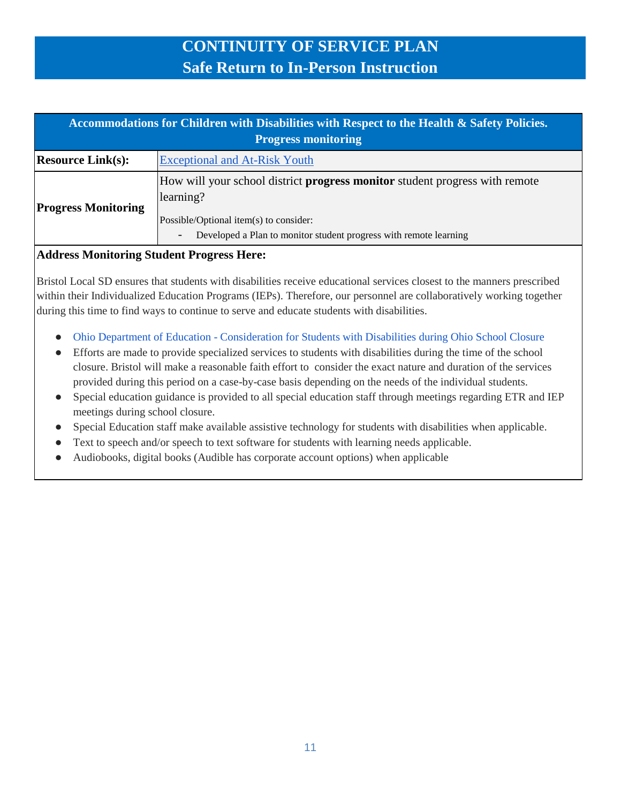| Accommodations for Children with Disabilities with Respect to the Health & Safety Policies. |                                                                                                                                                                                                                |
|---------------------------------------------------------------------------------------------|----------------------------------------------------------------------------------------------------------------------------------------------------------------------------------------------------------------|
| <b>Progress monitoring</b>                                                                  |                                                                                                                                                                                                                |
| <b>Resource Link(s):</b>                                                                    | <b>Exceptional and At-Risk Youth</b>                                                                                                                                                                           |
| <b>Progress Monitoring</b>                                                                  | How will your school district <b>progress monitor</b> student progress with remote<br>learning?<br>Possible/Optional item(s) to consider:<br>Developed a Plan to monitor student progress with remote learning |

#### **Address Monitoring Student Progress Here:**

Bristol Local SD ensures that students with disabilities receive educational services closest to the manners prescribed within their Individualized Education Programs (IEPs). Therefore, our personnel are collaboratively working together during this time to find ways to continue to serve and educate students with disabilities.

- Ohio Department of Education [Consideration for Students with Disabilities during Ohio School Closure](http://education.ohio.gov/Topics/Student-Supports/Coronavirus/Considerations-for-Students-with-Disabilities-Duri)
- Efforts are made to provide specialized services to students with disabilities during the time of the school closure. Bristol will make a reasonable faith effort to consider the exact nature and duration of the services provided during this period on a case-by-case basis depending on the needs of the individual students.
- Special education guidance is provided to all special education staff through meetings regarding ETR and IEP meetings during school closure.
- Special Education staff make available assistive technology for students with disabilities when applicable.
- Text to speech and/or speech to text software for students with learning needs applicable.
- Audiobooks, digital books (Audible has corporate account options) when applicable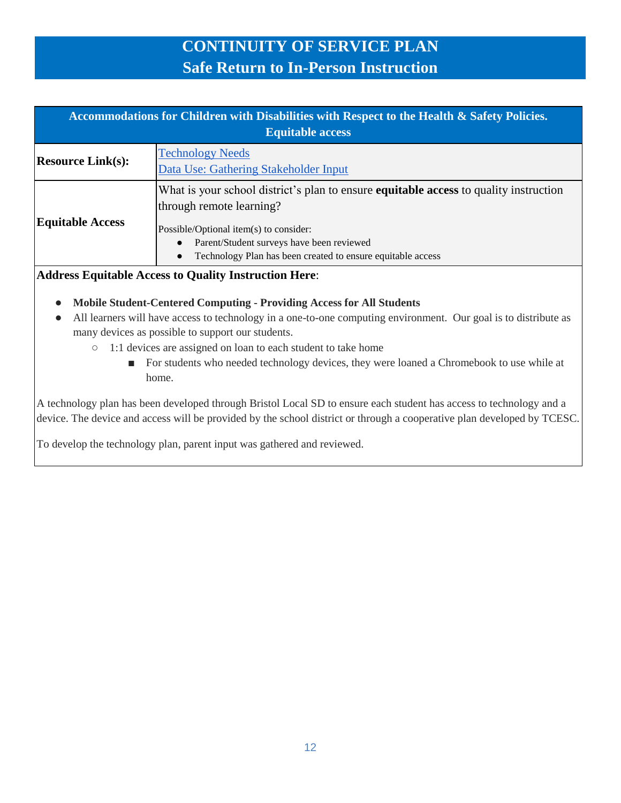| Accommodations for Children with Disabilities with Respect to the Health & Safety Policies.<br><b>Equitable access</b> |                                                                                                                                                                                                                                                                                             |
|------------------------------------------------------------------------------------------------------------------------|---------------------------------------------------------------------------------------------------------------------------------------------------------------------------------------------------------------------------------------------------------------------------------------------|
| <b>Resource Link(s):</b>                                                                                               | <b>Technology Needs</b><br>Data Use: Gathering Stakeholder Input                                                                                                                                                                                                                            |
| <b>Equitable Access</b>                                                                                                | What is your school district's plan to ensure <b>equitable access</b> to quality instruction<br>through remote learning?<br>Possible/Optional item(s) to consider:<br>Parent/Student surveys have been reviewed<br>$\bullet$<br>Technology Plan has been created to ensure equitable access |

#### **Address Equitable Access to Quality Instruction Here**:

- **Mobile Student-Centered Computing - Providing Access for All Students**
- All learners will have access to technology in a one-to-one computing environment. Our goal is to distribute as many devices as possible to support our students.
	- 1:1 devices are assigned on loan to each student to take home
		- For students who needed technology devices, they were loaned a Chromebook to use while at home.

A technology plan has been developed through Bristol Local SD to ensure each student has access to technology and a device. The device and access will be provided by the school district or through a cooperative plan developed by TCESC.

To develop the technology plan, parent input was gathered and reviewed.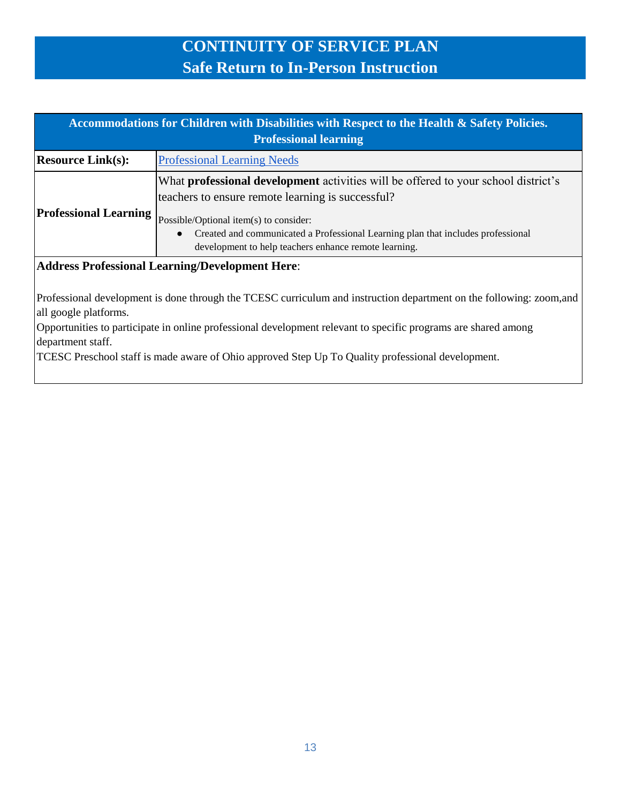| Accommodations for Children with Disabilities with Respect to the Health & Safety Policies.<br><b>Professional learning</b> |                                                                                                                                                                                                                                                                                                                                                    |
|-----------------------------------------------------------------------------------------------------------------------------|----------------------------------------------------------------------------------------------------------------------------------------------------------------------------------------------------------------------------------------------------------------------------------------------------------------------------------------------------|
| <b>Resource Link(s):</b>                                                                                                    | <b>Professional Learning Needs</b>                                                                                                                                                                                                                                                                                                                 |
| <b>Professional Learning</b>                                                                                                | What <b>professional development</b> activities will be offered to your school district's<br>teachers to ensure remote learning is successful?<br>Possible/Optional item(s) to consider:<br>Created and communicated a Professional Learning plan that includes professional<br>$\bullet$<br>development to help teachers enhance remote learning. |
| <b>Address Professional Learning/Development Here:</b><br>$\Box$                                                            |                                                                                                                                                                                                                                                                                                                                                    |

Professional development is done through the TCESC curriculum and instruction department on the following: zoom,and all google platforms.

Opportunities to participate in online professional development relevant to specific programs are shared among department staff.

TCESC Preschool staff is made aware of Ohio approved Step Up To Quality professional development.